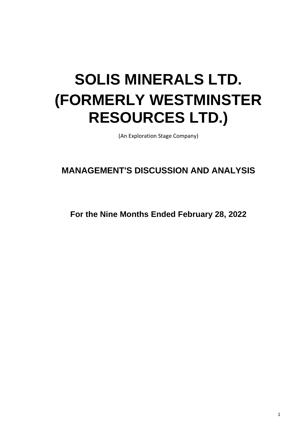# **SOLIS MINERALS LTD. (FORMERLY WESTMINSTER RESOURCES LTD.)**

(An Exploration Stage Company)

# **MANAGEMENT'S DISCUSSION AND ANALYSIS**

**For the Nine Months Ended February 28, 2022**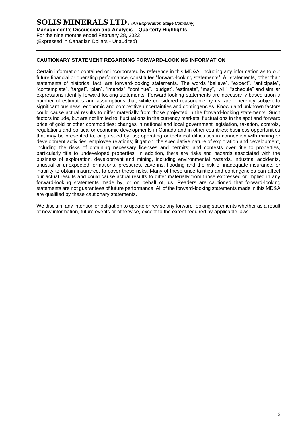# **SOLIS MINERALS LTD.** *(An Exploration Stage Company)* **Management's Discussion and Analysis – Quarterly Highlights** For the nine months ended February 28, 2022 (Expressed in Canadian Dollars - Unaudited)

# **CAUTIONARY STATEMENT REGARDING FORWARD-LOOKING INFORMATION**

Certain information contained or incorporated by reference in this MD&A, including any information as to our future financial or operating performance, constitutes "forward-looking statements". All statements, other than statements of historical fact, are forward-looking statements. The words "believe", "expect", "anticipate", "contemplate", "target", "plan", "intends", "continue", "budget", "estimate", "may", "will", "schedule" and similar expressions identify forward-looking statements. Forward-looking statements are necessarily based upon a number of estimates and assumptions that, while considered reasonable by us, are inherently subject to significant business, economic and competitive uncertainties and contingencies. Known and unknown factors could cause actual results to differ materially from those projected in the forward-looking statements. Such factors include, but are not limited to: fluctuations in the currency markets; fluctuations in the spot and forward price of gold or other commodities; changes in national and local government legislation, taxation, controls, regulations and political or economic developments in Canada and in other countries; business opportunities that may be presented to, or pursued by, us; operating or technical difficulties in connection with mining or development activities; employee relations; litigation; the speculative nature of exploration and development, including the risks of obtaining necessary licenses and permits; and contests over title to properties, particularly title to undeveloped properties. In addition, there are risks and hazards associated with the business of exploration, development and mining, including environmental hazards, industrial accidents, unusual or unexpected formations, pressures, cave-ins, flooding and the risk of inadequate insurance, or inability to obtain insurance, to cover these risks. Many of these uncertainties and contingencies can affect our actual results and could cause actual results to differ materially from those expressed or implied in any forward-looking statements made by, or on behalf of, us. Readers are cautioned that forward-looking statements are not guarantees of future performance. All of the forward-looking statements made in this MD&A are qualified by these cautionary statements.

We disclaim any intention or obligation to update or revise any forward-looking statements whether as a result of new information, future events or otherwise, except to the extent required by applicable laws.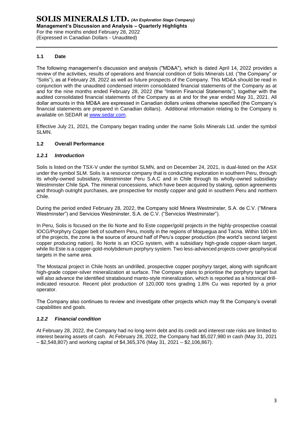# **1.1 Date**

The following management's discussion and analysis ("MD&A"), which is dated April 14, 2022 provides a review of the activities, results of operations and financial condition of Solis Minerals Ltd. ("the Company" or "Solis"), as at February 28, 2022 as well as future prospects of the Company. This MD&A should be read in conjunction with the unaudited condensed interim consolidated financial statements of the Company as at and for the nine months ended February 28, 2022 (the "Interim Financial Statements"), together with the audited consolidated financial statements of the Company as at and for the year ended May 31, 2021. All dollar amounts in this MD&A are expressed in Canadian dollars unless otherwise specified (the Company's financial statements are prepared in Canadian dollars). Additional information relating to the Company is available on SEDAR at [www.sedar.com.](http://www.sedar.com/)

Effective July 21, 2021, the Company began trading under the name Solis Minerals Ltd. under the symbol SLMN.

# **1.2 Overall Performance**

#### *1.2.1 Introduction*

Solis is listed on the TSX-V under the symbol SLMN, and on December 24, 2021, is dual-listed on the ASX under the symbol SLM. Solis is a resource company that is conducting exploration in southern Peru, through its wholly-owned subsidiary, Westminster Peru S.A.C and in Chile through its wholly-owned subsidiary Westminster Chile SpA. The mineral concessions, which have been acquired by staking, option agreements and through outright purchases, are prospective for mostly copper and gold in southern Peru and northern Chile.

During the period ended February 28, 2022, the Company sold Minera Westminster, S.A. de C.V. ("Minera Westminster") and Servicios Westminster, S.A. de C.V. ("Servicios Westminster").

In Peru, Solis is focused on the Ilo Norte and Ilo Este copper/gold projects in the highly-prospective coastal IOCG/Porphyry Copper belt of southern Peru, mostly in the regions of Moquegua and Tacna. Within 100 km of the projects, the zone is the source of around half of Peru's copper production (the world's second largest copper producing nation). Ilo Norte is an IOCG system, with a subsidiary high-grade copper-skarn target, while Ilo Este is a copper-gold-molybdenum porphyry system. Two less-advanced projects cover geophysical targets in the same area.

The Mostazal project in Chile hosts an undrilled, prospective copper porphyry target, along with significant high-grade copper-silver mineralization at surface. The Company plans to prioritise the porphyry target but will also advance the identified stratabound manto-style mineralization, which is reported as a historical drillindicated resource. Recent pilot production of 120,000 tons grading 1.8% Cu was reported by a prior operator.

The Company also continues to review and investigate other projects which may fit the Company's overall capabilities and goals.

#### *1.2.2 Financial condition*

At February 28, 2022, the Company had no long-term debt and its credit and interest rate risks are limited to interest bearing assets of cash. At February 28, 2022, the Company had \$5,027,980 in cash (May 31, 2021 – \$2,548,807) and working capital of \$4,365,376 (May 31, 2021 – \$2,106,867).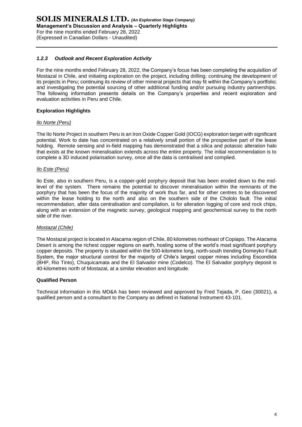# *1.2.3 Outlook and Recent Exploration Activity*

For the nine months ended February 28, 2022, the Company's focus has been completing the acquisition of Mostazal in Chile, and initiating exploration on the project, including drilling; continuing the development of its projects in Peru; continuing its review of other mineral projects that may fit within the Company's portfolio; and investigating the potential sourcing of other additional funding and/or pursuing industry partnerships. The following information presents details on the Company's properties and recent exploration and evaluation activities in Peru and Chile.

#### **Exploration Highlights**

#### *Ilo Norte (Peru)*

The Ilo Norte Project in southern Peru is an Iron Oxide Copper Gold (IOCG) exploration target with significant potential. Work to date has concentrated on a relatively small portion of the prospective part of the lease holding. Remote sensing and in-field mapping has demonstrated that a silica and potassic alteration halo that exists at the known mineralisation extends across the entire property. The initial recommendation is to complete a 3D induced polarisation survey, once all the data is centralised and complied.

#### *Ilo Este (Peru)*

Ilo Este, also in southern Peru, is a copper-gold porphyry deposit that has been eroded down to the midlevel of the system. There remains the potential to discover mineralisation within the remnants of the porphyry that has been the focus of the majority of work thus far, and for other centres to be discovered within the lease holding to the north and also on the southern side of the Chololo fault. The initial recommendation, after data centralisation and compilation, is for alteration logging of core and rock chips, along with an extension of the magnetic survey, geological mapping and geochemical survey to the north side of the river.

#### *Mostazal (Chile)*

The Mostazal project is located in Atacama region of Chile, 80 kilometres northeast of Copiapo. The Atacama Desert is among the richest copper regions on earth, hosting some of the world's most significant porphyry copper deposits. The property is situated within the 500-kilometre long, north-south trending Domeyko Fault System, the major structural control for the majority of Chile's largest copper mines including Escondida (BHP, Rio Tinto), Chuquicamata and the El Salvador mine (Codelco). The El Salvador porphyry deposit is 40-kilometres north of Mostazal, at a similar elevation and longitude.

#### **Qualified Person**

Technical information in this MD&A has been reviewed and approved by Fred Tejada, P. Geo (30021), a qualified person and a consultant to the Company as defined in National Instrument 43-101.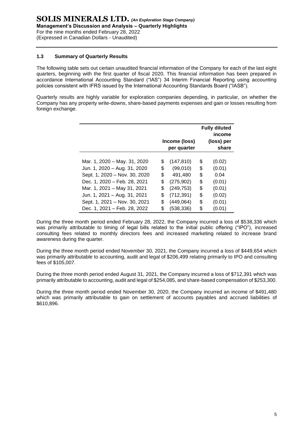## **1.3 Summary of Quarterly Results**

The following table sets out certain unaudited financial information of the Company for each of the last eight quarters, beginning with the first quarter of fiscal 2020. This financial information has been prepared in accordance International Accounting Standard ("IAS") 34 Interim Financial Reporting using accounting policies consistent with IFRS issued by the International Accounting Standards Board ("IASB").

Quarterly results are highly variable for exploration companies depending, in particular, on whether the Company has any property write-downs, share-based payments expenses and gain or losses resulting from foreign exchange.

|                               | Income (loss)<br>per quarter | <b>Fully diluted</b><br>income<br>(loss) per<br>share |
|-------------------------------|------------------------------|-------------------------------------------------------|
| Mar. 1, 2020 - May. 31, 2020  | \$<br>(147, 810)             | \$<br>(0.02)                                          |
| Jun. 1, 2020 - Aug. 31, 2020  | \$<br>(99,010)               | \$<br>(0.01)                                          |
| Sept. 1, 2020 - Nov. 30, 2020 | \$<br>491,480                | \$<br>0.04                                            |
| Dec. 1, 2020 - Feb. 28, 2021  | \$<br>(275, 902)             | \$<br>(0.01)                                          |
| Mar. 1, 2021 - May 31, 2021   | \$<br>(249, 753)             | \$<br>(0.01)                                          |
| Jun. 1, 2021 - Aug. 31, 2021  | \$<br>(712, 391)             | \$<br>(0.02)                                          |
| Sept. 1, 2021 - Nov. 30, 2021 | \$<br>(449, 064)             | \$<br>(0.01)                                          |
| Dec. 1, 2021 - Feb. 28, 2022  | \$<br>(538, 336)             | \$<br>(0.01)                                          |

During the three month period ended February 28, 2022, the Company incurred a loss of \$538,336 which was primarily attributable to timing of legal bills related to the initial public offering ("IPO"), increased consulting fees related to monthly directors fees and increased marketing related to increase brand awareness during the quarter.

During the three month period ended November 30, 2021, the Company incurred a loss of \$449,654 which was primarily attributable to accounting, audit and legal of \$206,499 relating primarily to IPO and consulting fees of \$105,007.

During the three month period ended August 31, 2021, the Company incurred a loss of \$712,391 which was primarily attributable to accounting, audit and legal of \$254,085, and share-based compensation of \$253,300.

During the three month period ended November 30, 2020, the Company incurred an income of \$491,480 which was primarily attributable to gain on settlement of accounts payables and accrued liabilities of \$610,896.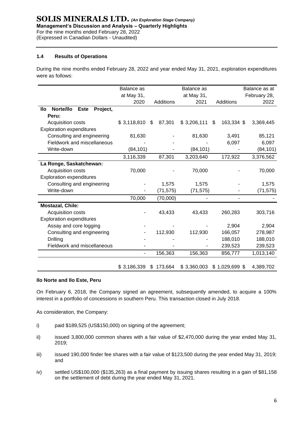# **1.4 Results of Operations**

During the nine months ended February 28, 2022 and year ended May 31, 2021, exploration expenditures were as follows:

|                                             | <b>Balance</b> as |               | Balance as  |                  | Balance as at |
|---------------------------------------------|-------------------|---------------|-------------|------------------|---------------|
|                                             | at May 31,        |               | at May 31,  |                  | February 28,  |
|                                             | 2020              | Additions     | 2021        | Additions        | 2022          |
| Norte/llo<br>Project,<br><b>Este</b><br>llo |                   |               |             |                  |               |
| Peru:                                       |                   |               |             |                  |               |
| Acquisition costs                           | \$3,118,810       | 87,301<br>\$  | \$3,206,111 | 163,334 \$<br>\$ | 3,369,445     |
| <b>Exploration expenditures</b>             |                   |               |             |                  |               |
| Consulting and engineering                  | 81,630            |               | 81,630      | 3,491            | 85,121        |
| Fieldwork and miscellaneous                 |                   |               |             | 6,097            | 6,097         |
| Write-down                                  | (84, 101)         |               | (84, 101)   |                  | (84, 101)     |
|                                             | 3,116,339         | 87,301        | 3,203,640   | 172,922          | 3,376,562     |
| La Ronge, Saskatchewan:                     |                   |               |             |                  |               |
| Acquisition costs                           | 70,000            |               | 70,000      |                  | 70,000        |
| <b>Exploration expenditures</b>             |                   |               |             |                  |               |
| Consulting and engineering                  |                   | 1,575         | 1,575       |                  | 1,575         |
| Write-down                                  |                   | (71, 575)     | (71, 575)   |                  | (71, 575)     |
|                                             | 70,000            | (70,000)      |             |                  |               |
| <b>Mostazal, Chile:</b>                     |                   |               |             |                  |               |
| Acquisition costs                           |                   | 43,433        | 43,433      | 260,283          | 303,716       |
| <b>Exploration expenditures</b>             |                   |               |             |                  |               |
| Assay and core logging                      |                   |               |             | 2,904            | 2,904         |
| Consulting and engineering                  |                   | 112,930       | 112,930     | 166,057          | 278,987       |
| <b>Drilling</b>                             |                   |               |             | 188,010          | 188,010       |
| Fieldwork and miscellaneous                 |                   |               |             | 239,523          | 239,523       |
|                                             |                   | 156,363       | 156,363     | 856,777          | 1,013,140     |
|                                             |                   |               |             |                  |               |
|                                             | \$3,186,339       | 173,664<br>\$ | \$3,360,003 | $$1,029,699$ \$  | 4,389,702     |

#### **Ilo Norte and Ilo Este, Peru**

On February 6, 2018, the Company signed an agreement, subsequently amended, to acquire a 100% interest in a portfolio of concessions in southern Peru. This transaction closed in July 2018.

As consideration, the Company:

- i) paid \$189,525 (US\$150,000) on signing of the agreement;
- ii) issued 3,800,000 common shares with a fair value of \$2,470,000 during the year ended May 31, 2019;
- $\frac{1}{10}$  issued 190,000 finder fee shares with a fair value of \$123,500 during the year ended May 31, 2019; and
- iv) settled US\$100,000 (\$135,263) as a final payment by issuing shares resulting in a gain of \$81,158 on the settlement of debt during the year ended May 31, 2021.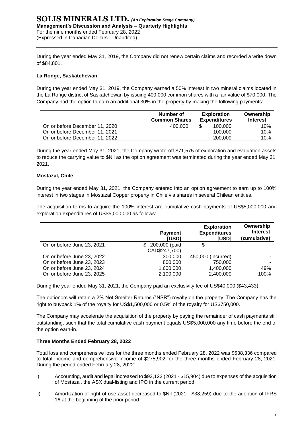### **SOLIS MINERALS LTD.** *(An Exploration Stage Company)* **Management's Discussion and Analysis – Quarterly Highlights** For the nine months ended February 28, 2022 (Expressed in Canadian Dollars - Unaudited)

During the year ended May 31, 2019, the Company did not renew certain claims and recorded a write down of \$84,801.

# **La Ronge, Saskatchewan**

During the year ended May 31, 2019, the Company earned a 50% interest in two mineral claims located in the La Ronge district of Saskatchewan by issuing 400,000 common shares with a fair value of \$70,000. The Company had the option to earn an additional 30% in the property by making the following payments:

|                                | Number of<br><b>Common Shares</b> | <b>Exploration</b><br><b>Expenditures</b> | Ownership<br><b>Interest</b> |
|--------------------------------|-----------------------------------|-------------------------------------------|------------------------------|
|                                |                                   |                                           |                              |
| On or before December 11, 2020 | 400.000                           | 100.000                                   | 10%                          |
| On or before December 11, 2021 | ۰.                                | 100,000                                   | 10%                          |
| On or before December 11, 2022 |                                   | 200,000                                   | 10%                          |

During the year ended May 31, 2021, the Company wrote-off \$71,575 of exploration and evaluation assets to reduce the carrying value to \$Nil as the option agreement was terminated during the year ended May 31, 2021.

#### **Mostazal, Chile**

During the year ended May 31, 2021, the Company entered into an option agreement to earn up to 100% interest in two stages in Mostazal Copper property in Chile via shares in several Chilean entities.

The acquisition terms to acquire the 100% interest are cumulative cash payments of US\$5,000,000 and exploration expenditures of US\$5,000,000 as follows:

|                            | <b>Payment</b><br><b>IUSDI</b>        | <b>Exploration</b><br><b>Expenditures</b><br><b>IUSDI</b> | Ownership<br><b>Interest</b><br>(cumulative) |
|----------------------------|---------------------------------------|-----------------------------------------------------------|----------------------------------------------|
| On or before June 23, 2021 | 200,000 (paid<br>SS.<br>CAD\$247,700) | S                                                         |                                              |
| On or before June 23, 2022 | 300,000                               | 450,000 (incurred)                                        |                                              |
| On or before June 23, 2023 | 800,000                               | 750,000                                                   |                                              |
| On or before June 23, 2024 | 1,600,000                             | 1,400,000                                                 | 49%                                          |
| On or before June 23, 2025 | 2,100,000                             | 2,400,000                                                 | 100%                                         |

During the year ended May 31, 2021, the Company paid an exclusivity fee of US\$40,000 (\$43,433).

The optionors will retain a 2% Net Smelter Returns ("NSR") royalty on the property. The Company has the right to buyback 1% of the royalty for US\$1,500,000 or 0.5% of the royalty for US\$750,000.

The Company may accelerate the acquisition of the property by paying the remainder of cash payments still outstanding, such that the total cumulative cash payment equals US\$5,000,000 any time before the end of the option earn-in.

#### **Three Months Ended February 28, 2022**

Total loss and comprehensive loss for the three months ended February 28, 2022 was \$538,336 compared to total income and comprehensive income of \$275,902 for the three months ended February 28, 2021. During the period ended February 28, 2022:

- i) Accounting, audit and legal increased to \$93,123 (2021 \$15,904) due to expenses of the acquisition of Mostazal, the ASX dual-listing and IPO in the current period.
- ii) Amortization of right-of-use asset decreased to \$Nil (2021 \$38,259) due to the adoption of IFRS 16 at the beginning of the prior period.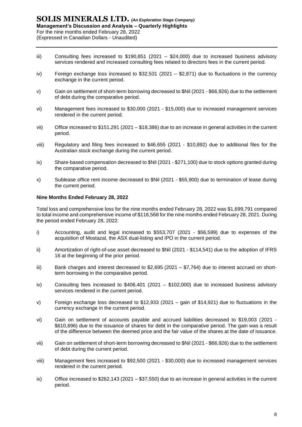- iii) Consulting fees increased to \$190,851 (2021 \$24,000) due to increased business advisory services rendered and increased consulting fees related to directors fees in the current period.
- iv) Foreign exchange loss increased to \$32,531 (2021 \$2,871) due to fluctuations in the currency exchange in the current period.
- v) Gain on settlement of short-term borrowing decreased to \$Nil (2021 \$66,926) due to the settlement of debt during the comparative period.
- vi) Management fees increased to \$30,000 (2021 \$15,000) due to increased management services rendered in the current period.
- vii) Office increased to \$151,291 (2021 \$18,386) due to an increase in general activities in the current period.
- viii) Regulatory and filing fees increased to \$46,655 (2021 \$10,892) due to additional files for the Australian stock exchange during the current period.
- ix) Share-based compensation decreased to \$Nil (2021 \$271,100) due to stock options granted during the comparative period.
- x) Sublease office rent income decreased to \$Nil (2021 \$55,900) due to termination of lease during the current period.

#### **Nine Months Ended February 28, 2022**

Total loss and comprehensive loss for the nine months ended February 28, 2022 was \$1,699,791 compared to total income and comprehensive income of \$116,568 for the nine months ended February 28, 2021. During the period ended February 28, 2022:

- i) Accounting, audit and legal increased to \$553,707 (2021 \$56,599) due to expenses of the acquisition of Mostazal, the ASX dual-listing and IPO in the current period.
- ii) Amortization of right-of-use asset decreased to \$Nil (2021 \$114,541) due to the adoption of IFRS 16 at the beginning of the prior period.
- iii) Bank charges and interest decreased to \$2,695 (2021 \$7,764) due to interest accrued on shortterm borrowing in the comparative period.
- iv) Consulting fees increased to \$406,401 (2021 \$102,000) due to increased business advisory services rendered in the current period.
- v) Foreign exchange loss decreased to \$12,933 (2021 gain of \$14,921) due to fluctuations in the currency exchange in the current period.
- vi) Gain on settlement of accounts payable and accrued liabilities decreased to \$19,003 (2021 \$610,896) due to the issuance of shares for debt in the comparative period. The gain was a result of the difference between the deemed price and the fair value of the shares at the date of issuance.
- vii) Gain on settlement of short-term borrowing decreased to \$Nil (2021 \$66,926) due to the settlement of debt during the current period.
- viii) Management fees increased to \$92,500 (2021 \$30,000) due to increased management services rendered in the current period.
- ix) Office increased to \$262,143 (2021 \$37,550) due to an increase in general activities in the current period.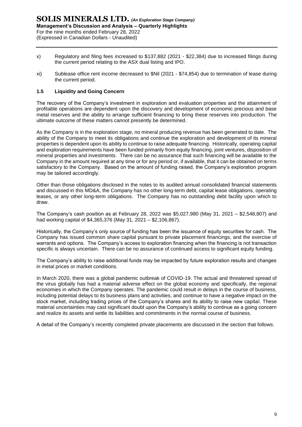- x) Regulatory and filing fees increased to \$137,882 (2021 \$22,384) due to increased filings during the current period relating to the ASX dual listing and IPO.
- xi) Sublease office rent income decreased to \$Nil (2021 \$74,854) due to termination of lease during the current period.

# **1.5 Liquidity and Going Concern**

The recovery of the Company's investment in exploration and evaluation properties and the attainment of profitable operations are dependent upon the discovery and development of economic precious and base metal reserves and the ability to arrange sufficient financing to bring these reserves into production. The ultimate outcome of these matters cannot presently be determined.

As the Company is in the exploration stage, no mineral producing revenue has been generated to date. The ability of the Company to meet its obligations and continue the exploration and development of its mineral properties is dependent upon its ability to continue to raise adequate financing. Historically, operating capital and exploration requirements have been funded primarily from equity financing, joint ventures, disposition of mineral properties and investments. There can be no assurance that such financing will be available to the Company in the amount required at any time or for any period or, if available, that it can be obtained on terms satisfactory to the Company. Based on the amount of funding raised, the Company's exploration program may be tailored accordingly.

Other than those obligations disclosed in the notes to its audited annual consolidated financial statements and discussed in this MD&A, the Company has no other long-term debt, capital lease obligations, operating leases, or any other long-term obligations. The Company has no outstanding debt facility upon which to draw.

The Company's cash position as at February 28, 2022 was \$5,027,980 (May 31, 2021 – \$2,548,807) and had working capital of \$4,365,376 (May 31, 2021 – \$2,106,867).

Historically, the Company's only source of funding has been the issuance of equity securities for cash. The Company has issued common share capital pursuant to private placement financings, and the exercise of warrants and options. The Company's access to exploration financing when the financing is not transaction specific is always uncertain. There can be no assurance of continued access to significant equity funding.

The Company's ability to raise additional funds may be impacted by future exploration results and changes in metal prices or market conditions.

In March 2020, there was a global pandemic outbreak of COVID-19. The actual and threatened spread of the virus globally has had a material adverse effect on the global economy and specifically, the regional economies in which the Company operates. The pandemic could result in delays in the course of business, including potential delays to its business plans and activities, and continue to have a negative impact on the stock market, including trading prices of the Company's shares and its ability to raise new capital. These material uncertainties may cast significant doubt upon the Company's ability to continue as a going concern and realize its assets and settle its liabilities and commitments in the normal course of business.

A detail of the Company's recently completed private placements are discussed in the section that follows.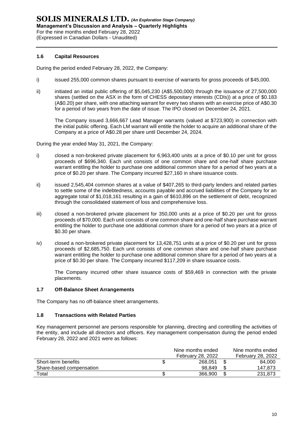#### **1.6 Capital Resources**

During the period ended February 28, 2022, the Company:

- i) issued 255,000 common shares pursuant to exercise of warrants for gross proceeds of \$45,000.
- ii) initiated an initial public offering of \$5,045,230 (A\$5,500,000) through the issuance of 27,500,000 shares (settled on the ASX in the form of CHESS depositary interests (CDIs)) at a price of \$0.183 (A\$0.20) per share, with one attaching warrant for every two shares with an exercise price of A\$0.30 for a period of two years from the date of issue. The IPO closed on December 24, 2021.

The Company issued 3,666,667 Lead Manager warrants (valued at \$723,900) in connection with the initial public offering. Each LM warrant will entitle the holder to acquire an additional share of the Company at a price of A\$0.28 per share until December 24, 2024.

During the year ended May 31, 2021, the Company:

- i) closed a non-brokered private placement for 6,963,400 units at a price of \$0.10 per unit for gross proceeds of \$696,340. Each unit consists of one common share and one-half share purchase warrant entitling the holder to purchase one additional common share for a period of two years at a price of \$0.20 per share. The Company incurred \$27,160 in share issuance costs.
- ii) issued 2,545,404 common shares at a value of \$407,265 to third-party lenders and related parties to settle some of the indebtedness, accounts payable and accrued liabilities of the Company for an aggregate total of \$1,018,161 resulting in a gain of \$610,896 on the settlement of debt, recognized through the consolidated statement of loss and comprehensive loss.
- iii) closed a non-brokered private placement for 350,000 units at a price of \$0.20 per unit for gross proceeds of \$70,000. Each unit consists of one common share and one-half share purchase warrant entitling the holder to purchase one additional common share for a period of two years at a price of \$0.30 per share.
- iv) closed a non-brokered private placement for 13,428,751 units at a price of \$0.20 per unit for gross proceeds of \$2,685,750. Each unit consists of one common share and one-half share purchase warrant entitling the holder to purchase one additional common share for a period of two years at a price of \$0.30 per share. The Company incurred \$117,209 in share issuance costs.

The Company incurred other share issuance costs of \$59,469 in connection with the private placements.

#### **1.7 Off-Balance Sheet Arrangements**

The Company has no off-balance sheet arrangements.

#### **1.8 Transactions with Related Parties**

Key management personnel are persons responsible for planning, directing and controlling the activities of the entity, and include all directors and officers. Key management compensation during the period ended February 28, 2022 and 2021 were as follows:

|                          | Nine months ended<br>February 28, 2022 | Nine months ended<br><b>February 28, 2022</b> |
|--------------------------|----------------------------------------|-----------------------------------------------|
| Short-term benefits      | 268.051                                | 84.000                                        |
| Share-based compensation | 98.849                                 | 147.873                                       |
| $\tau$ otal              | 366,900                                | 231,873                                       |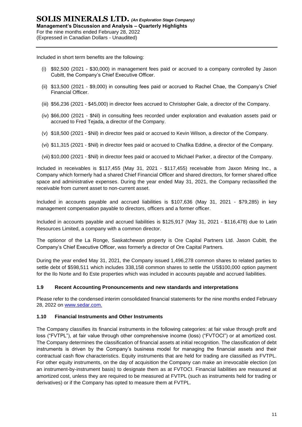Included in short term benefits are the following:

- (i) \$92,500 (2021 \$30,000) in management fees paid or accrued to a company controlled by Jason Cubitt, the Company's Chief Executive Officer.
- (ii) \$13,500 (2021 \$9,000) in consulting fees paid or accrued to Rachel Chae, the Company's Chief Financial Officer.
- (iii) \$56,236 (2021 \$45,000) in director fees accrued to Christopher Gale, a director of the Company.
- (iv) \$66,000 (2021 \$Nil) in consulting fees recorded under exploration and evaluation assets paid or accrued to Fred Tejada, a director of the Company.
- (v) \$18,500 (2021 \$Nil) in director fees paid or accrued to Kevin Wilson, a director of the Company.
- (vi) \$11,315 (2021 \$Nil) in director fees paid or accrued to Chafika Eddine, a director of the Company.
- (vii) \$10,000 (2021 \$Nil) in director fees paid or accrued to Michael Parker, a director of the Company.

Included in receivables is \$117,455 (May 31, 2021 - \$117,455) receivable from Jaxon Mining Inc., a Company which formerly had a shared Chief Financial Officer and shared directors, for former shared office space and administrative expenses. During the year ended May 31, 2021, the Company reclassified the receivable from current asset to non-current asset.

Included in accounts payable and accrued liabilities is \$107,636 (May 31, 2021 - \$79,285) in key management compensation payable to directors, officers and a former officer.

Included in accounts payable and accrued liabilities is \$125,917 (May 31, 2021 - \$116,478) due to Latin Resources Limited, a company with a common director.

The optionor of the La Ronge, Saskatchewan property is Ore Capital Partners Ltd. Jason Cubitt, the Company's Chief Executive Officer, was formerly a director of Ore Capital Partners.

During the year ended May 31, 2021, the Company issued 1,496,278 common shares to related parties to settle debt of \$598,511 which includes 338,158 common shares to settle the US\$100,000 option payment for the Ilo Norte and Ilo Este properties which was included in accounts payable and accrued liabilities.

#### **1.9 Recent Accounting Pronouncements and new standards and interpretations**

Please refer to the condensed interim consolidated financial statements for the nine months ended February 28, 2022 on [www.sedar.com.](http://www.sedar.com/)

#### **1.10 Financial Instruments and Other Instruments**

The Company classifies its financial instruments in the following categories: at fair value through profit and loss ("FVTPL"), at fair value through other comprehensive income (loss) ("FVTOCI") or at amortized cost. The Company determines the classification of financial assets at initial recognition. The classification of debt instruments is driven by the Company's business model for managing the financial assets and their contractual cash flow characteristics. Equity instruments that are held for trading are classified as FVTPL. For other equity instruments, on the day of acquisition the Company can make an irrevocable election (on an instrument-by-instrument basis) to designate them as at FVTOCI. Financial liabilities are measured at amortized cost, unless they are required to be measured at FVTPL (such as instruments held for trading or derivatives) or if the Company has opted to measure them at FVTPL.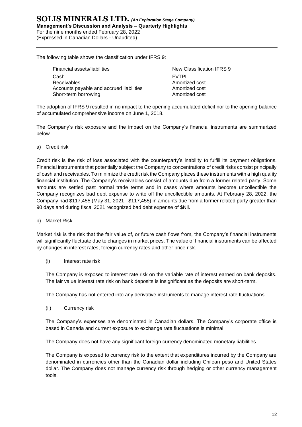The following table shows the classification under IFRS 9:

| Financial assets/liabilities             | New Classification IFRS 9 |
|------------------------------------------|---------------------------|
| Cash                                     | <b>FVTPL</b>              |
| Receivables                              | Amortized cost            |
| Accounts payable and accrued liabilities | Amortized cost            |
| Short-term borrowing                     | Amortized cost            |

The adoption of IFRS 9 resulted in no impact to the opening accumulated deficit nor to the opening balance of accumulated comprehensive income on June 1, 2018.

The Company's risk exposure and the impact on the Company's financial instruments are summarized below.

a) Credit risk

Credit risk is the risk of loss associated with the counterparty's inability to fulfill its payment obligations. Financial instruments that potentially subject the Company to concentrations of credit risks consist principally of cash and receivables. To minimize the credit risk the Company places these instruments with a high quality financial institution. The Company's receivables consist of amounts due from a former related party. Some amounts are settled past normal trade terms and in cases where amounts become uncollectible the Company recognizes bad debt expense to write off the uncollectible amounts. At February 28, 2022, the Company had \$117,455 (May 31, 2021 - \$117,455) in amounts due from a former related party greater than 90 days and during fiscal 2021 recognized bad debt expense of \$Nil.

b) Market Risk

Market risk is the risk that the fair value of, or future cash flows from, the Company's financial instruments will significantly fluctuate due to changes in market prices. The value of financial instruments can be affected by changes in interest rates, foreign currency rates and other price risk.

(i) Interest rate risk

The Company is exposed to interest rate risk on the variable rate of interest earned on bank deposits. The fair value interest rate risk on bank deposits is insignificant as the deposits are short‐term.

The Company has not entered into any derivative instruments to manage interest rate fluctuations.

(ii) Currency risk

The Company's expenses are denominated in Canadian dollars. The Company's corporate office is based in Canada and current exposure to exchange rate fluctuations is minimal.

The Company does not have any significant foreign currency denominated monetary liabilities.

The Company is exposed to currency risk to the extent that expenditures incurred by the Company are denominated in currencies other than the Canadian dollar including Chilean peso and United States dollar. The Company does not manage currency risk through hedging or other currency management tools.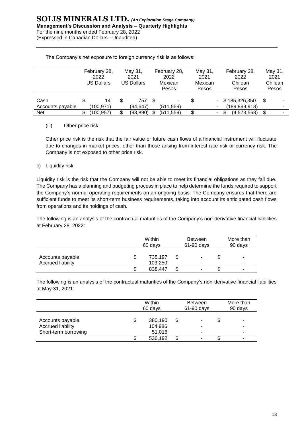|                          | February 28,<br>2022<br><b>US Dollars</b> | May 31,<br>2021<br><b>US Dollars</b> | February 28,<br>2022<br>Mexican<br>Pesos |   | May 31,<br>2021<br>Mexican<br>Pesos | February 28,<br>2022<br>Chilean<br>Pesos | May 31,<br>2021<br>Chilean<br>Pesos |
|--------------------------|-------------------------------------------|--------------------------------------|------------------------------------------|---|-------------------------------------|------------------------------------------|-------------------------------------|
| Cash<br>Accounts payable | 14<br>(100,971)                           | \$<br>757<br>(94.647)                | ۰<br>(511, 559)                          |   |                                     | \$185,326,350<br>(189, 899, 918)         | \$                                  |
| <b>Net</b>               | (100,957)                                 | \$<br>(93,890)                       | \$<br>(511, 559)                         | ፍ | $\overline{\phantom{a}}$            | (4,573,568)                              | \$                                  |

The Company's net exposure to foreign currency risk is as follows:

#### (iii) Other price risk

Other price risk is the risk that the fair value or future cash flows of a financial instrument will fluctuate due to changes in market prices, other than those arising from interest rate risk or currency risk. The Company is not exposed to other price risk.

c) Liquidity risk

Liquidity risk is the risk that the Company will not be able to meet its financial obligations as they fall due. The Company has a planning and budgeting process in place to help determine the funds required to support the Company's normal operating requirements on an ongoing basis. The Company ensures that there are sufficient funds to meet its short-term business requirements, taking into account its anticipated cash flows from operations and its holdings of cash.

The following is an analysis of the contractual maturities of the Company's non-derivative financial liabilities at February 28, 2022:

|                                              |   | Within<br>60 days  |  | <b>Between</b><br>$61-90$ days | More than<br>90 days |   |  |
|----------------------------------------------|---|--------------------|--|--------------------------------|----------------------|---|--|
| Accounts payable<br><b>Accrued liability</b> | Œ | 735,197<br>103,250 |  | ۰<br>-                         |                      | ۰ |  |
|                                              |   | 838,447            |  |                                | ъD                   |   |  |

The following is an analysis of the contractual maturities of the Company's non-derivative financial liabilities at May 31, 2021:

|                                                               | Within<br>60 days |                              |  | <b>Between</b><br>$61-90$ days | More than<br>90 days |   |  |
|---------------------------------------------------------------|-------------------|------------------------------|--|--------------------------------|----------------------|---|--|
| Accounts payable<br>Accrued liability<br>Short-term borrowing |                   | 380,190<br>104,986<br>51,016 |  |                                | \$                   | - |  |
|                                                               |                   | 536,192                      |  |                                |                      |   |  |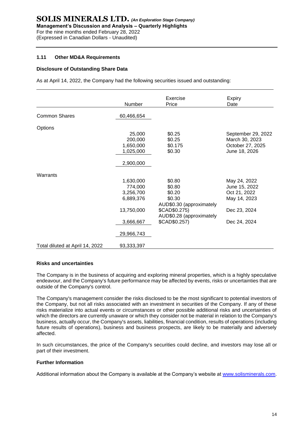#### **1.11 Other MD&A Requirements**

#### **Disclosure of Outstanding Share Data**

As at April 14, 2022, the Company had the following securities issued and outstanding:

|                                 | Number                                                                                  | Exercise<br>Price                                                                                                              | Expiry<br>Date                                                                                |
|---------------------------------|-----------------------------------------------------------------------------------------|--------------------------------------------------------------------------------------------------------------------------------|-----------------------------------------------------------------------------------------------|
| <b>Common Shares</b>            | 60,466,654                                                                              |                                                                                                                                |                                                                                               |
| Options                         | 25,000<br>200,000<br>1,650,000<br>1,025,000<br>2,900,000                                | \$0.25<br>\$0.25<br>\$0.175<br>\$0.30                                                                                          | September 29, 2022<br>March 30, 2023<br>October 27, 2025<br>June 18, 2026                     |
| Warrants                        | 1,630,000<br>774,000<br>3,256,700<br>6,889,376<br>13,750,000<br>3,666,667<br>29,966,743 | \$0.80<br>\$0.80<br>\$0.20<br>\$0.30<br>AUD\$0.30 (approximately<br>\$CAD\$0.275)<br>AUD\$0.28 (approximately<br>\$CAD\$0.257) | May 24, 2022<br>June 15, 2022<br>Oct 21, 2022<br>May 14, 2023<br>Dec 23, 2024<br>Dec 24, 2024 |
| Total diluted at April 14, 2022 | 93,333,397                                                                              |                                                                                                                                |                                                                                               |

#### **Risks and uncertainties**

The Company is in the business of acquiring and exploring mineral properties, which is a highly speculative endeavour, and the Company's future performance may be affected by events, risks or uncertainties that are outside of the Company's control.

The Company's management consider the risks disclosed to be the most significant to potential investors of the Company, but not all risks associated with an investment in securities of the Company. If any of these risks materialize into actual events or circumstances or other possible additional risks and uncertainties of which the directors are currently unaware or which they consider not be material in relation to the Company's business, actually occur, the Company's assets, liabilities, financial condition, results of operations (including future results of operations), business and business prospects, are likely to be materially and adversely affected.

In such circumstances, the price of the Company's securities could decline, and investors may lose all or part of their investment.

#### **Further Information**

Additional information about the Company is available at the Company's website at [www.solisminerals.com.](http://www.solisminerals.com/)